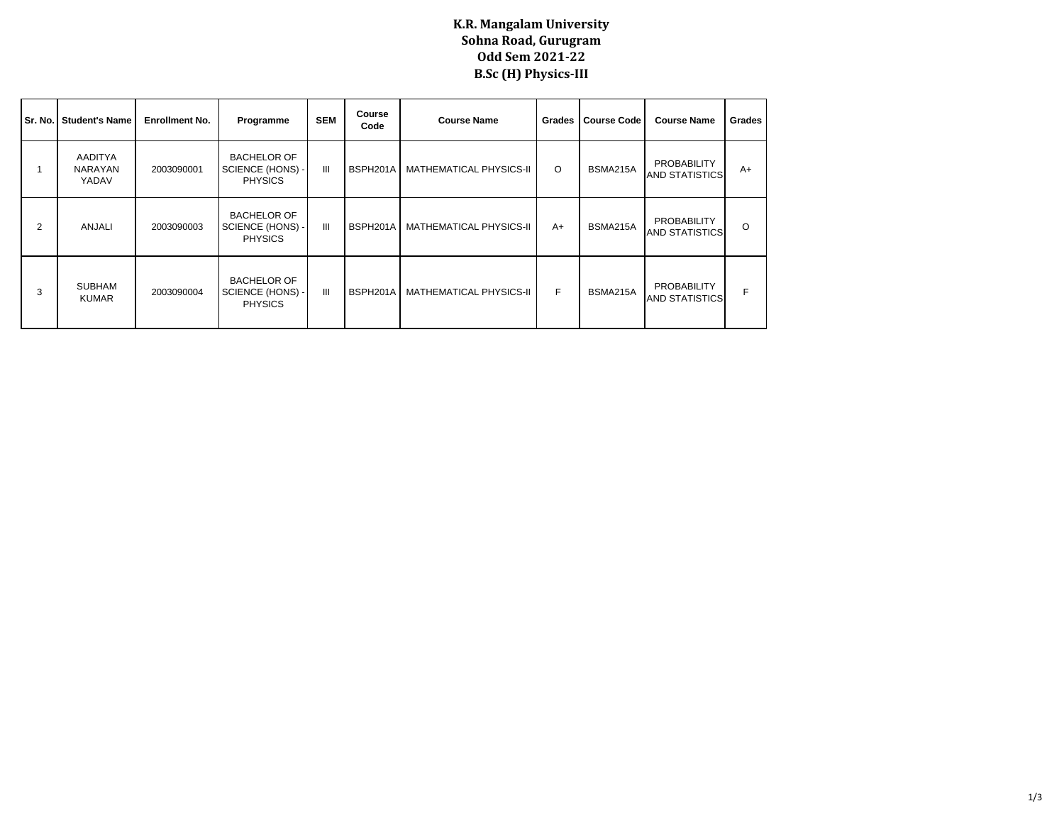## **K.R. Mangalam University Sohna Road, Gurugram Odd Sem 2021-22 B.Sc (H) Physics-III**

|   | Sr. No.   Student's Name           | <b>Enrollment No.</b> | Programme                                                | <b>SEM</b>     | Course<br>Code | <b>Course Name</b>      | <b>Grades</b> | <b>Course Code</b> | <b>Course Name</b>                          | Grades  |
|---|------------------------------------|-----------------------|----------------------------------------------------------|----------------|----------------|-------------------------|---------------|--------------------|---------------------------------------------|---------|
|   | AADITYA<br><b>NARAYAN</b><br>YADAV | 2003090001            | <b>BACHELOR OF</b><br>SCIENCE (HONS) -<br><b>PHYSICS</b> | Ш              | BSPH201A       | MATHEMATICAL PHYSICS-II | O             | BSMA215A           | <b>PROBABILITY</b><br><b>AND STATISTICS</b> | $A+$    |
| 2 | ANJALI                             | 2003090003            | <b>BACHELOR OF</b><br>SCIENCE (HONS) -<br><b>PHYSICS</b> | $\mathbf{III}$ | BSPH201A       | MATHEMATICAL PHYSICS-II | $A+$          | BSMA215A           | PROBABILITY<br><b>AND STATISTICS</b>        | $\circ$ |
| 3 | <b>SUBHAM</b><br><b>KUMAR</b>      | 2003090004            | <b>BACHELOR OF</b><br>SCIENCE (HONS) -<br><b>PHYSICS</b> | $\mathbf{III}$ | BSPH201A       | MATHEMATICAL PHYSICS-II | F.            | BSMA215A           | PROBABILITY<br><b>AND STATISTICS</b>        |         |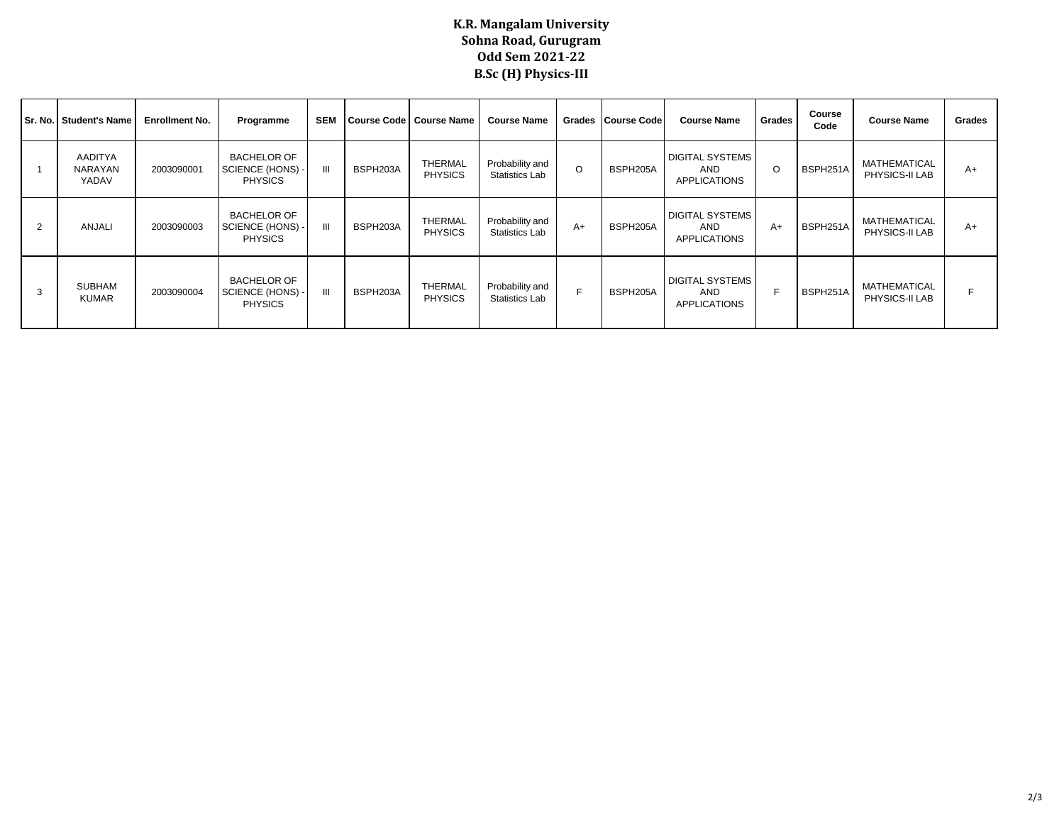## **K.R. Mangalam University Sohna Road, Gurugram Odd Sem 2021-22 B.Sc (H) Physics-III**

| Sr. No.        | <b>Student's Name</b>                     | <b>Enrollment No.</b> | Programme                                                | <b>SEM</b> |          | Course Code   Course Name        | <b>Course Name</b>                |         | Grades Course Code | <b>Course Name</b>                                   | Grades | Course<br>Code | <b>Course Name</b>                    | Grades |
|----------------|-------------------------------------------|-----------------------|----------------------------------------------------------|------------|----------|----------------------------------|-----------------------------------|---------|--------------------|------------------------------------------------------|--------|----------------|---------------------------------------|--------|
|                | <b>AADITYA</b><br><b>NARAYAN</b><br>YADAV | 2003090001            | <b>BACHELOR OF</b><br>SCIENCE (HONS) -<br><b>PHYSICS</b> | Ш          | BSPH203A | THERMAL<br><b>PHYSICS</b>        | Probability and<br>Statistics Lab | $\circ$ | BSPH205A           | <b>DIGITAL SYSTEMS</b><br>AND<br><b>APPLICATIONS</b> | O      | BSPH251A       | MATHEMATICAL<br>PHYSICS-II LAB        | $A+$   |
| $\overline{2}$ | <b>ANJALI</b>                             | 2003090003            | <b>BACHELOR OF</b><br>SCIENCE (HONS) -<br><b>PHYSICS</b> | Ш          | BSPH203A | <b>THERMAL</b><br><b>PHYSICS</b> | Probability and<br>Statistics Lab | $A+$    | BSPH205A           | <b>DIGITAL SYSTEMS</b><br>AND<br><b>APPLICATIONS</b> | $A+$   | BSPH251A       | <b>MATHEMATICAL</b><br>PHYSICS-II LAB | $A+$   |
| 3              | <b>SUBHAM</b><br><b>KUMAR</b>             | 2003090004            | <b>BACHELOR OF</b><br>SCIENCE (HONS) -<br><b>PHYSICS</b> | Ш          | BSPH203A | THERMAL<br><b>PHYSICS</b>        | Probability and<br>Statistics Lab | F.      | BSPH205A           | <b>DIGITAL SYSTEMS</b><br>AND<br><b>APPLICATIONS</b> | F      | BSPH251A       | MATHEMATICAL<br>PHYSICS-II LAB        |        |